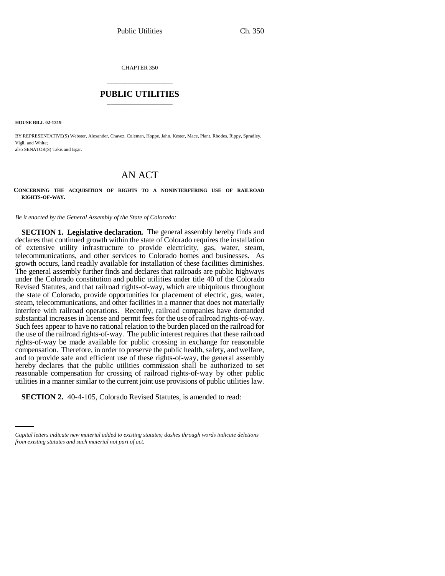CHAPTER 350 \_\_\_\_\_\_\_\_\_\_\_\_\_\_\_

## **PUBLIC UTILITIES** \_\_\_\_\_\_\_\_\_\_\_\_\_\_\_

**HOUSE BILL 02-1319**

BY REPRESENTATIVE(S) Webster, Alexander, Chavez, Coleman, Hoppe, Jahn, Kester, Mace, Plant, Rhodes, Rippy, Spradley, Vigil, and White: also SENATOR(S) Takis and Isgar.

## AN ACT

**CONCERNING THE ACQUISITION OF RIGHTS TO A NONINTERFERING USE OF RAILROAD RIGHTS-OF-WAY.**

*Be it enacted by the General Assembly of the State of Colorado:*

**SECTION 1. Legislative declaration.** The general assembly hereby finds and declares that continued growth within the state of Colorado requires the installation of extensive utility infrastructure to provide electricity, gas, water, steam, telecommunications, and other services to Colorado homes and businesses. As growth occurs, land readily available for installation of these facilities diminishes. The general assembly further finds and declares that railroads are public highways under the Colorado constitution and public utilities under title 40 of the Colorado Revised Statutes, and that railroad rights-of-way, which are ubiquitous throughout the state of Colorado, provide opportunities for placement of electric, gas, water, steam, telecommunications, and other facilities in a manner that does not materially interfere with railroad operations. Recently, railroad companies have demanded substantial increases in license and permit fees for the use of railroad rights-of-way. Such fees appear to have no rational relation to the burden placed on the railroad for the use of the railroad rights-of-way. The public interest requires that these railroad rights-of-way be made available for public crossing in exchange for reasonable compensation. Therefore, in order to preserve the public health, safety, and welfare, and to provide safe and efficient use of these rights-of-way, the general assembly hereby declares that the public utilities commission shall be authorized to set reasonable compensation for crossing of railroad rights-of-way by other public utilities in a manner similar to the current joint use provisions of public utilities law.

**SECTION 2.** 40-4-105, Colorado Revised Statutes, is amended to read:

*Capital letters indicate new material added to existing statutes; dashes through words indicate deletions from existing statutes and such material not part of act.*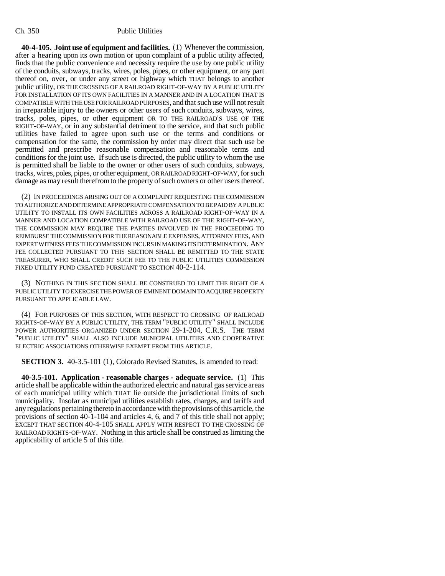## Ch. 350 Public Utilities

**40-4-105. Joint use of equipment and facilities.** (1) Whenever the commission, after a hearing upon its own motion or upon complaint of a public utility affected, finds that the public convenience and necessity require the use by one public utility of the conduits, subways, tracks, wires, poles, pipes, or other equipment, or any part thereof on, over, or under any street or highway which THAT belongs to another public utility, OR THE CROSSING OF A RAILROAD RIGHT-OF-WAY BY A PUBLIC UTILITY FOR INSTALLATION OF ITS OWN FACILITIES IN A MANNER AND IN A LOCATION THAT IS COMPATIBLE WITH THE USE FOR RAILROAD PURPOSES, and that such use will not result in irreparable injury to the owners or other users of such conduits, subways, wires, tracks, poles, pipes, or other equipment OR TO THE RAILROAD'S USE OF THE RIGHT-OF-WAY, or in any substantial detriment to the service, and that such public utilities have failed to agree upon such use or the terms and conditions or compensation for the same, the commission by order may direct that such use be permitted and prescribe reasonable compensation and reasonable terms and conditions for the joint use. If such use is directed, the public utility to whom the use is permitted shall be liable to the owner or other users of such conduits, subways, tracks, wires, poles, pipes, or other equipment, OR RAILROAD RIGHT-OF-WAY, for such damage as may result therefrom to the property of such owners or other users thereof.

(2) IN PROCEEDINGS ARISING OUT OF A COMPLAINT REQUESTING THE COMMISSION TO AUTHORIZE AND DETERMINE APPROPRIATE COMPENSATION TO BE PAID BY A PUBLIC UTILITY TO INSTALL ITS OWN FACILITIES ACROSS A RAILROAD RIGHT-OF-WAY IN A MANNER AND LOCATION COMPATIBLE WITH RAILROAD USE OF THE RIGHT-OF-WAY, THE COMMISSION MAY REQUIRE THE PARTIES INVOLVED IN THE PROCEEDING TO REIMBURSE THE COMMISSION FOR THE REASONABLE EXPENSES, ATTORNEY FEES, AND EXPERT WITNESS FEES THE COMMISSION INCURS IN MAKING ITS DETERMINATION. ANY FEE COLLECTED PURSUANT TO THIS SECTION SHALL BE REMITTED TO THE STATE TREASURER, WHO SHALL CREDIT SUCH FEE TO THE PUBLIC UTILITIES COMMISSION FIXED UTILITY FUND CREATED PURSUANT TO SECTION 40-2-114.

(3) NOTHING IN THIS SECTION SHALL BE CONSTRUED TO LIMIT THE RIGHT OF A PUBLIC UTILITY TO EXERCISE THE POWER OF EMINENT DOMAIN TO ACQUIRE PROPERTY PURSUANT TO APPLICABLE LAW.

(4) FOR PURPOSES OF THIS SECTION, WITH RESPECT TO CROSSING OF RAILROAD RIGHTS-OF-WAY BY A PUBLIC UTILITY, THE TERM "PUBLIC UTILITY" SHALL INCLUDE POWER AUTHORITIES ORGANIZED UNDER SECTION 29-1-204, C.R.S. THE TERM "PUBLIC UTILITY" SHALL ALSO INCLUDE MUNICIPAL UTILITIES AND COOPERATIVE ELECTRIC ASSOCIATIONS OTHERWISE EXEMPT FROM THIS ARTICLE.

**SECTION 3.** 40-3.5-101 (1), Colorado Revised Statutes, is amended to read:

**40-3.5-101. Application - reasonable charges - adequate service.** (1) This article shall be applicable within the authorized electric and natural gas service areas of each municipal utility which THAT lie outside the jurisdictional limits of such municipality. Insofar as municipal utilities establish rates, charges, and tariffs and any regulations pertaining thereto in accordance with the provisions of this article, the provisions of section 40-1-104 and articles 4, 6, and 7 of this title shall not apply; EXCEPT THAT SECTION 40-4-105 SHALL APPLY WITH RESPECT TO THE CROSSING OF RAILROAD RIGHTS-OF-WAY. Nothing in this article shall be construed as limiting the applicability of article 5 of this title.